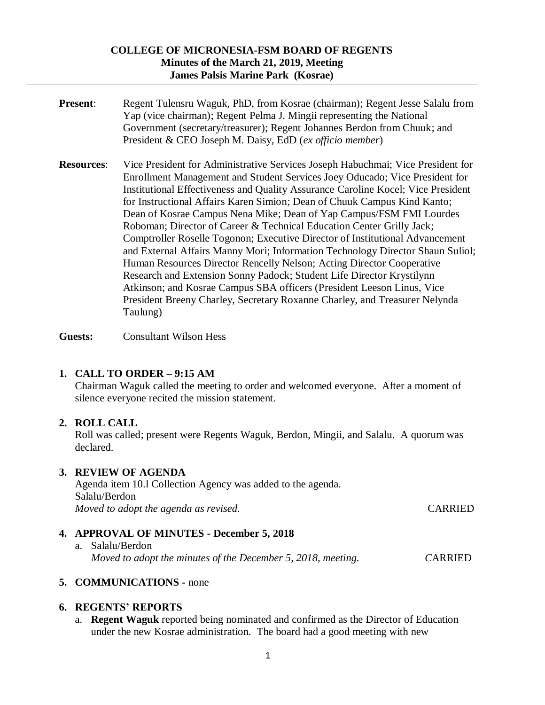#### **COLLEGE OF MICRONESIA-FSM BOARD OF REGENTS Minutes of the March 21, 2019, Meeting James Palsis Marine Park (Kosrae)**

- **Present:** Regent Tulensru Waguk, PhD, from Kosrae (chairman); Regent Jesse Salalu from Yap (vice chairman); Regent Pelma J. Mingii representing the National Government (secretary/treasurer); Regent Johannes Berdon from Chuuk; and President & CEO Joseph M. Daisy, EdD (*ex officio member*)
- **Resources**: Vice President for Administrative Services Joseph Habuchmai; Vice President for Enrollment Management and Student Services Joey Oducado; Vice President for Institutional Effectiveness and Quality Assurance Caroline Kocel; Vice President for Instructional Affairs Karen Simion; Dean of Chuuk Campus Kind Kanto; Dean of Kosrae Campus Nena Mike; Dean of Yap Campus/FSM FMI Lourdes Roboman; Director of Career & Technical Education Center Grilly Jack; Comptroller Roselle Togonon; Executive Director of Institutional Advancement and External Affairs Manny Mori; Information Technology Director Shaun Suliol; Human Resources Director Rencelly Nelson; Acting Director Cooperative Research and Extension Sonny Padock; Student Life Director Krystilynn Atkinson; and Kosrae Campus SBA officers (President Leeson Linus, Vice President Breeny Charley, Secretary Roxanne Charley, and Treasurer Nelynda Taulung)

**Guests:** Consultant Wilson Hess

### **1. CALL TO ORDER – 9:15 AM**

Chairman Waguk called the meeting to order and welcomed everyone. After a moment of silence everyone recited the mission statement.

### **2. ROLL CALL**

Roll was called; present were Regents Waguk, Berdon, Mingii, and Salalu. A quorum was declared.

### **3. REVIEW OF AGENDA**

Agenda item 10.l Collection Agency was added to the agenda. Salalu/Berdon *Moved to adopt the agenda as revised.* CARRIED

## **4. APPROVAL OF MINUTES - December 5, 2018**

a. Salalu/Berdon  *Moved to adopt the minutes of the December 5, 2018, meeting. C*ARRIED

## **5. COMMUNICATIONS -** none

### **6. REGENTS' REPORTS**

a. **Regent Waguk** reported being nominated and confirmed as the Director of Education under the new Kosrae administration. The board had a good meeting with new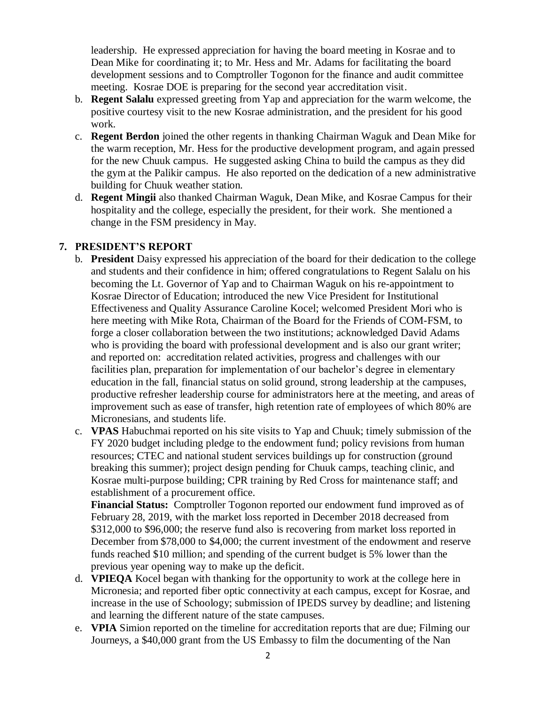leadership. He expressed appreciation for having the board meeting in Kosrae and to Dean Mike for coordinating it; to Mr. Hess and Mr. Adams for facilitating the board development sessions and to Comptroller Togonon for the finance and audit committee meeting. Kosrae DOE is preparing for the second year accreditation visit.

- b. **Regent Salalu** expressed greeting from Yap and appreciation for the warm welcome, the positive courtesy visit to the new Kosrae administration, and the president for his good work.
- c. **Regent Berdon** joined the other regents in thanking Chairman Waguk and Dean Mike for the warm reception, Mr. Hess for the productive development program, and again pressed for the new Chuuk campus. He suggested asking China to build the campus as they did the gym at the Palikir campus. He also reported on the dedication of a new administrative building for Chuuk weather station.
- d. **Regent Mingii** also thanked Chairman Waguk, Dean Mike, and Kosrae Campus for their hospitality and the college, especially the president, for their work. She mentioned a change in the FSM presidency in May.

## **7. PRESIDENT'S REPORT**

- b. **President** Daisy expressed his appreciation of the board for their dedication to the college and students and their confidence in him; offered congratulations to Regent Salalu on his becoming the Lt. Governor of Yap and to Chairman Waguk on his re-appointment to Kosrae Director of Education; introduced the new Vice President for Institutional Effectiveness and Quality Assurance Caroline Kocel; welcomed President Mori who is here meeting with Mike Rota, Chairman of the Board for the Friends of COM-FSM, to forge a closer collaboration between the two institutions; acknowledged David Adams who is providing the board with professional development and is also our grant writer; and reported on: accreditation related activities, progress and challenges with our facilities plan, preparation for implementation of our bachelor's degree in elementary education in the fall, financial status on solid ground, strong leadership at the campuses, productive refresher leadership course for administrators here at the meeting, and areas of improvement such as ease of transfer, high retention rate of employees of which 80% are Micronesians, and students life.
- c. **VPAS** Habuchmai reported on his site visits to Yap and Chuuk; timely submission of the FY 2020 budget including pledge to the endowment fund; policy revisions from human resources; CTEC and national student services buildings up for construction (ground breaking this summer); project design pending for Chuuk camps, teaching clinic, and Kosrae multi-purpose building; CPR training by Red Cross for maintenance staff; and establishment of a procurement office.

**Financial Status:** Comptroller Togonon reported our endowment fund improved as of February 28, 2019, with the market loss reported in December 2018 decreased from \$312,000 to \$96,000; the reserve fund also is recovering from market loss reported in December from \$78,000 to \$4,000; the current investment of the endowment and reserve funds reached \$10 million; and spending of the current budget is 5% lower than the previous year opening way to make up the deficit.

- d. **VPIEQA** Kocel began with thanking for the opportunity to work at the college here in Micronesia; and reported fiber optic connectivity at each campus, except for Kosrae, and increase in the use of Schoology; submission of IPEDS survey by deadline; and listening and learning the different nature of the state campuses.
- e. **VPIA** Simion reported on the timeline for accreditation reports that are due; Filming our Journeys, a \$40,000 grant from the US Embassy to film the documenting of the Nan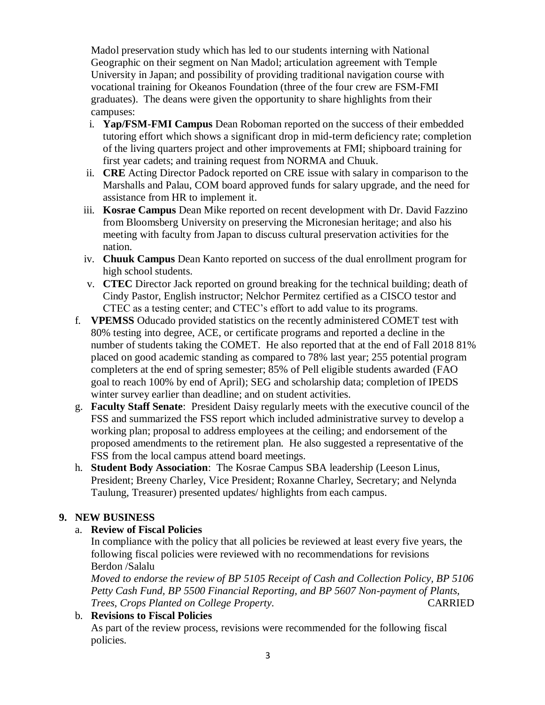Madol preservation study which has led to our students interning with National Geographic on their segment on Nan Madol; articulation agreement with Temple University in Japan; and possibility of providing traditional navigation course with vocational training for Okeanos Foundation (three of the four crew are FSM-FMI graduates). The deans were given the opportunity to share highlights from their campuses:

- i. **Yap/FSM-FMI Campus** Dean Roboman reported on the success of their embedded tutoring effort which shows a significant drop in mid-term deficiency rate; completion of the living quarters project and other improvements at FMI; shipboard training for first year cadets; and training request from NORMA and Chuuk.
- ii. **CRE** Acting Director Padock reported on CRE issue with salary in comparison to the Marshalls and Palau, COM board approved funds for salary upgrade, and the need for assistance from HR to implement it.
- iii. **Kosrae Campus** Dean Mike reported on recent development with Dr. David Fazzino from Bloomsberg University on preserving the Micronesian heritage; and also his meeting with faculty from Japan to discuss cultural preservation activities for the nation.
- iv. **Chuuk Campus** Dean Kanto reported on success of the dual enrollment program for high school students.
- v. **CTEC** Director Jack reported on ground breaking for the technical building; death of Cindy Pastor, English instructor; Nelchor Permitez certified as a CISCO testor and CTEC as a testing center; and CTEC's effort to add value to its programs.
- f. **VPEMSS** Oducado provided statistics on the recently administered COMET test with 80% testing into degree, ACE, or certificate programs and reported a decline in the number of students taking the COMET. He also reported that at the end of Fall 2018 81% placed on good academic standing as compared to 78% last year; 255 potential program completers at the end of spring semester; 85% of Pell eligible students awarded (FAO goal to reach 100% by end of April); SEG and scholarship data; completion of IPEDS winter survey earlier than deadline; and on student activities.
- g. **Faculty Staff Senate**: President Daisy regularly meets with the executive council of the FSS and summarized the FSS report which included administrative survey to develop a working plan; proposal to address employees at the ceiling; and endorsement of the proposed amendments to the retirement plan. He also suggested a representative of the FSS from the local campus attend board meetings.
- h. **Student Body Association**: The Kosrae Campus SBA leadership (Leeson Linus, President; Breeny Charley, Vice President; Roxanne Charley, Secretary; and Nelynda Taulung, Treasurer) presented updates/ highlights from each campus.

# **9. NEW BUSINESS**

## a. **Review of Fiscal Policies**

In compliance with the policy that all policies be reviewed at least every five years, the following fiscal policies were reviewed with no recommendations for revisions Berdon /Salalu

*Moved to endorse the review of BP 5105 Receipt of Cash and Collection Policy, BP 5106 Petty Cash Fund, BP 5500 Financial Reporting, and BP 5607 Non-payment of Plants, Trees, Crops Planted on College Property.* CARRIED

## b. **Revisions to Fiscal Policies**

As part of the review process, revisions were recommended for the following fiscal policies.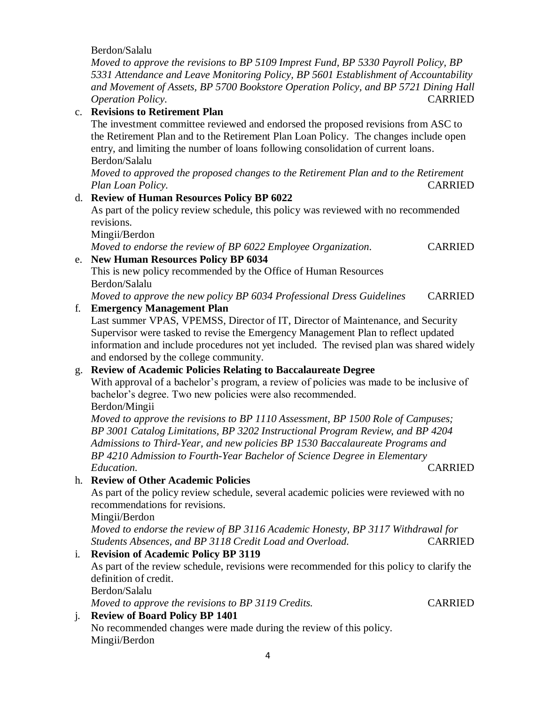|                | Berdon/Salalu                                                                                                                                                                                                                                                                   |                |
|----------------|---------------------------------------------------------------------------------------------------------------------------------------------------------------------------------------------------------------------------------------------------------------------------------|----------------|
|                | Moved to approve the revisions to BP 5109 Imprest Fund, BP 5330 Payroll Policy, BP<br>5331 Attendance and Leave Monitoring Policy, BP 5601 Establishment of Accountability<br>and Movement of Assets, BP 5700 Bookstore Operation Policy, and BP 5721 Dining Hall               |                |
|                | Operation Policy.                                                                                                                                                                                                                                                               | <b>CARRIED</b> |
|                | c. Revisions to Retirement Plan                                                                                                                                                                                                                                                 |                |
|                | The investment committee reviewed and endorsed the proposed revisions from ASC to<br>the Retirement Plan and to the Retirement Plan Loan Policy. The changes include open<br>entry, and limiting the number of loans following consolidation of current loans.<br>Berdon/Salalu |                |
|                | Moved to approved the proposed changes to the Retirement Plan and to the Retirement                                                                                                                                                                                             |                |
|                | Plan Loan Policy.                                                                                                                                                                                                                                                               | <b>CARRIED</b> |
|                | d. Review of Human Resources Policy BP 6022                                                                                                                                                                                                                                     |                |
|                | As part of the policy review schedule, this policy was reviewed with no recommended<br>revisions.                                                                                                                                                                               |                |
|                | Mingii/Berdon                                                                                                                                                                                                                                                                   |                |
|                | Moved to endorse the review of BP 6022 Employee Organization.                                                                                                                                                                                                                   | <b>CARRIED</b> |
| e.             | <b>New Human Resources Policy BP 6034</b>                                                                                                                                                                                                                                       |                |
|                | This is new policy recommended by the Office of Human Resources<br>Berdon/Salalu                                                                                                                                                                                                |                |
|                | Moved to approve the new policy BP 6034 Professional Dress Guidelines                                                                                                                                                                                                           | <b>CARRIED</b> |
| f.             | <b>Emergency Management Plan</b>                                                                                                                                                                                                                                                |                |
|                | Last summer VPAS, VPEMSS, Director of IT, Director of Maintenance, and Security                                                                                                                                                                                                 |                |
|                | Supervisor were tasked to revise the Emergency Management Plan to reflect updated                                                                                                                                                                                               |                |
|                | information and include procedures not yet included. The revised plan was shared widely                                                                                                                                                                                         |                |
|                | and endorsed by the college community.                                                                                                                                                                                                                                          |                |
| g.             | <b>Review of Academic Policies Relating to Baccalaureate Degree</b>                                                                                                                                                                                                             |                |
|                | With approval of a bachelor's program, a review of policies was made to be inclusive of                                                                                                                                                                                         |                |
|                | bachelor's degree. Two new policies were also recommended.                                                                                                                                                                                                                      |                |
|                | Berdon/Mingii                                                                                                                                                                                                                                                                   |                |
|                | Moved to approve the revisions to BP 1110 Assessment, BP 1500 Role of Campuses;                                                                                                                                                                                                 |                |
|                | BP 3001 Catalog Limitations, BP 3202 Instructional Program Review, and BP 4204                                                                                                                                                                                                  |                |
|                | Admissions to Third-Year, and new policies BP 1530 Baccalaureate Programs and                                                                                                                                                                                                   |                |
|                | BP 4210 Admission to Fourth-Year Bachelor of Science Degree in Elementary                                                                                                                                                                                                       |                |
|                | Education.                                                                                                                                                                                                                                                                      | <b>CARRIED</b> |
|                | h. Review of Other Academic Policies                                                                                                                                                                                                                                            |                |
|                | As part of the policy review schedule, several academic policies were reviewed with no                                                                                                                                                                                          |                |
|                | recommendations for revisions.                                                                                                                                                                                                                                                  |                |
|                | Mingii/Berdon                                                                                                                                                                                                                                                                   |                |
|                | Moved to endorse the review of BP 3116 Academic Honesty, BP 3117 Withdrawal for                                                                                                                                                                                                 |                |
|                | Students Absences, and BP 3118 Credit Load and Overload.                                                                                                                                                                                                                        | <b>CARRIED</b> |
| $\mathbf{i}$ . | <b>Revision of Academic Policy BP 3119</b>                                                                                                                                                                                                                                      |                |
|                | As part of the review schedule, revisions were recommended for this policy to clarify the                                                                                                                                                                                       |                |
|                | definition of credit.                                                                                                                                                                                                                                                           |                |
|                | Berdon/Salalu                                                                                                                                                                                                                                                                   |                |
|                | Moved to approve the revisions to BP 3119 Credits.                                                                                                                                                                                                                              | <b>CARRIED</b> |
| j.             | <b>Review of Board Policy BP 1401</b>                                                                                                                                                                                                                                           |                |
|                | No recommended changes were made during the review of this policy.                                                                                                                                                                                                              |                |
| Mingii/Berdon  |                                                                                                                                                                                                                                                                                 |                |
| 4              |                                                                                                                                                                                                                                                                                 |                |